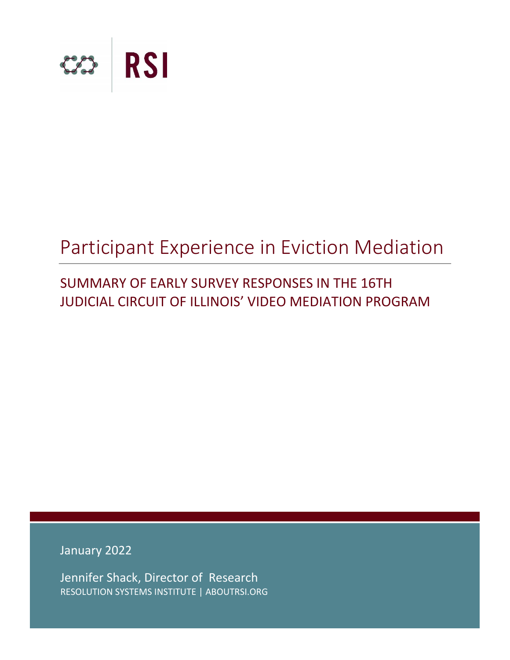

# Participant Experience in Eviction Mediation

# SUMMARY OF EARLY SURVEY RESPONSES IN THE 16TH JUDICIAL CIRCUIT OF ILLINOIS' VIDEO MEDIATION PROGRAM

January 2022

Jennifer Shack, Director of Research RESOLUTION SYSTEMS INSTITUTE | ABOUTRSI.ORG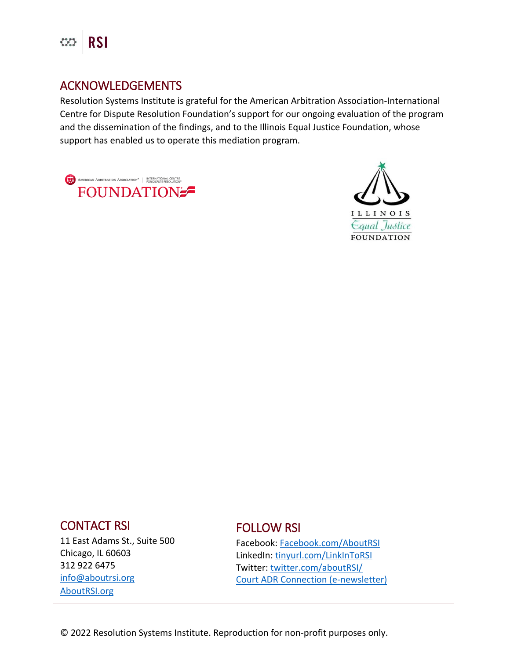

# ACKNOWLEDGEMENTS

Resolution Systems Institute is grateful for the American Arbitration Association-International Centre for Dispute Resolution Foundation's support for our ongoing evaluation of the program and the dissemination of the findings, and to the Illinois Equal Justice Foundation, whose support has enabled us to operate this mediation program.

AMERICAN ARBITRATION ASSOCIATION<sup>\*</sup> | INTERNATIONAL CENTRE FOUNDATION



## CONTACT RSI

11 East Adams St., Suite 500 Chicago, IL 60603 312 922 6475 [info@aboutrsi.org](mailto:info@aboutrsi.org) [AboutRSI.org](https://www.aboutrsi.org/)

# FOLLOW RSI

Facebook: [Facebook.com/AboutRSI](https://www.facebook.com/aboutRSI/) LinkedIn: [tinyurl.com/LinkInToRSI](http://tinyurl.com/LinkInToRSI) Twitter[: twitter.com/aboutRSI/](https://twitter.com/aboutRSI/) [Court ADR Connection \(e-newsletter\)](https://www.aboutrsi.org/publications/court-adr-connection-newsletter)

Resolution Systems Institute AboutRSI.org © 2022 Resolution Systems Institute. Reproduction for non-profit purposes only.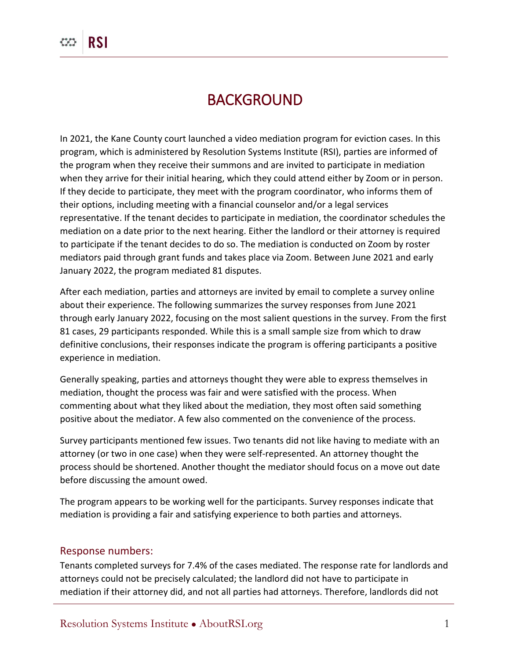# BACKGROUND

In 2021, the Kane County court launched a video mediation program for eviction cases. In this program, which is administered by Resolution Systems Institute (RSI), parties are informed of the program when they receive their summons and are invited to participate in mediation when they arrive for their initial hearing, which they could attend either by Zoom or in person. If they decide to participate, they meet with the program coordinator, who informs them of their options, including meeting with a financial counselor and/or a legal services representative. If the tenant decides to participate in mediation, the coordinator schedules the mediation on a date prior to the next hearing. Either the landlord or their attorney is required to participate if the tenant decides to do so. The mediation is conducted on Zoom by roster mediators paid through grant funds and takes place via Zoom. Between June 2021 and early January 2022, the program mediated 81 disputes.

After each mediation, parties and attorneys are invited by email to complete a survey online about their experience. The following summarizes the survey responses from June 2021 through early January 2022, focusing on the most salient questions in the survey. From the first 81 cases, 29 participants responded. While this is a small sample size from which to draw definitive conclusions, their responses indicate the program is offering participants a positive experience in mediation.

Generally speaking, parties and attorneys thought they were able to express themselves in mediation, thought the process was fair and were satisfied with the process. When commenting about what they liked about the mediation, they most often said something positive about the mediator. A few also commented on the convenience of the process.

Survey participants mentioned few issues. Two tenants did not like having to mediate with an attorney (or two in one case) when they were self-represented. An attorney thought the process should be shortened. Another thought the mediator should focus on a move out date before discussing the amount owed.

The program appears to be working well for the participants. Survey responses indicate that mediation is providing a fair and satisfying experience to both parties and attorneys.

#### Response numbers:

Tenants completed surveys for 7.4% of the cases mediated. The response rate for landlords and attorneys could not be precisely calculated; the landlord did not have to participate in mediation if their attorney did, and not all parties had attorneys. Therefore, landlords did not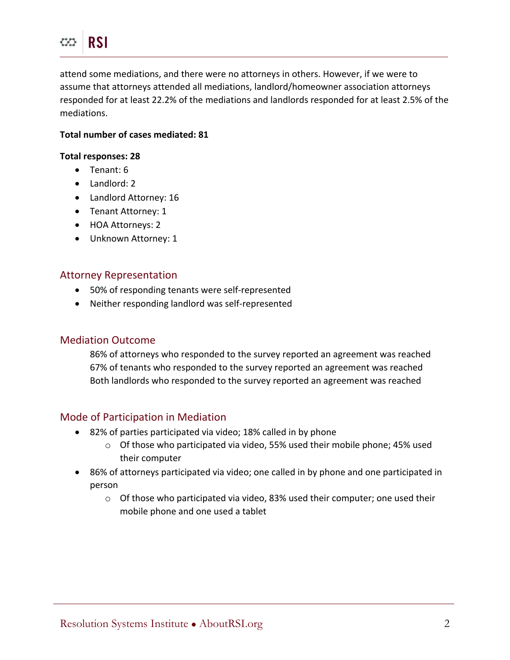attend some mediations, and there were no attorneys in others. However, if we were to assume that attorneys attended all mediations, landlord/homeowner association attorneys responded for at least 22.2% of the mediations and landlords responded for at least 2.5% of the mediations.

#### **Total number of cases mediated: 81**

#### **Total responses: 28**

- Tenant: 6
- Landlord: 2
- Landlord Attorney: 16
- Tenant Attorney: 1
- HOA Attorneys: 2
- Unknown Attorney: 1

### Attorney Representation

- 50% of responding tenants were self-represented
- Neither responding landlord was self-represented

#### Mediation Outcome

86% of attorneys who responded to the survey reported an agreement was reached 67% of tenants who responded to the survey reported an agreement was reached Both landlords who responded to the survey reported an agreement was reached

#### Mode of Participation in Mediation

- 82% of parties participated via video; 18% called in by phone
	- $\circ$  Of those who participated via video, 55% used their mobile phone; 45% used their computer
- 86% of attorneys participated via video; one called in by phone and one participated in person
	- $\circ$  Of those who participated via video, 83% used their computer; one used their mobile phone and one used a tablet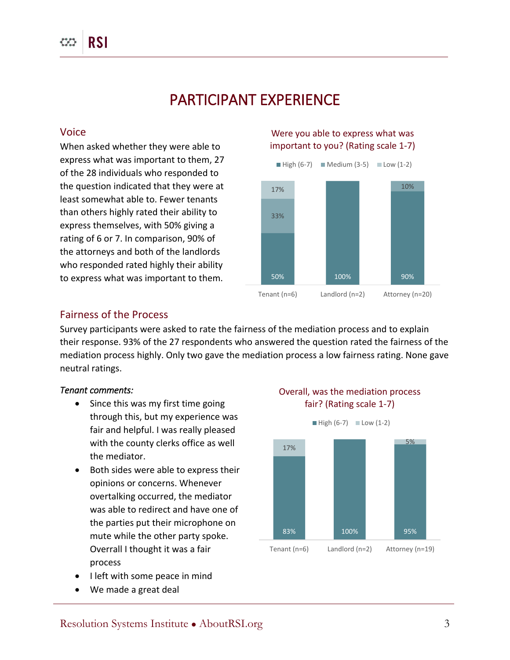# PARTICIPANT EXPERIENCE

#### Voice

When asked whether they were able to express what was important to them, 27 of the 28 individuals who responded to the question indicated that they were at least somewhat able to. Fewer tenants than others highly rated their ability to express themselves, with 50% giving a rating of 6 or 7. In comparison, 90% of the attorneys and both of the landlords who responded rated highly their ability to express what was important to them.

#### Were you able to express what was important to you? (Rating scale 1-7)



#### Fairness of the Process

Survey participants were asked to rate the fairness of the mediation process and to explain their response. 93% of the 27 respondents who answered the question rated the fairness of the mediation process highly. Only two gave the mediation process a low fairness rating. None gave neutral ratings.

#### *Tenant comments:*

- Since this was my first time going through this, but my experience was fair and helpful. I was really pleased with the county clerks office as well the mediator.
- Both sides were able to express their opinions or concerns. Whenever overtalking occurred, the mediator was able to redirect and have one of the parties put their microphone on mute while the other party spoke. Overrall I thought it was a fair process
- I left with some peace in mind
- We made a great deal

### Overall, was the mediation process fair? (Rating scale 1-7)

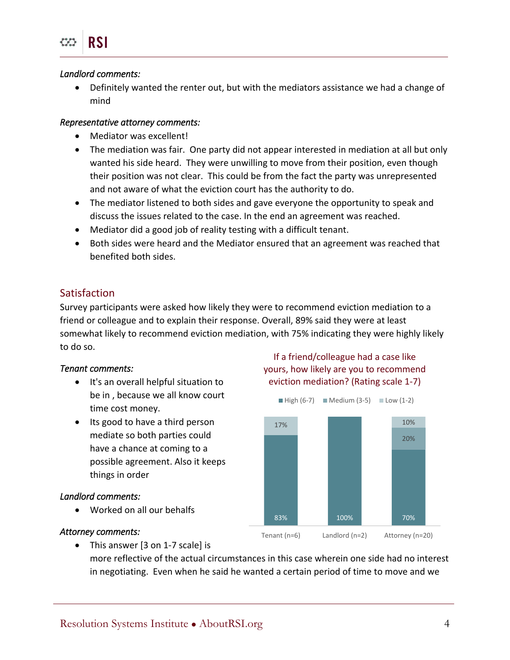#### *Landlord comments:*

 Definitely wanted the renter out, but with the mediators assistance we had a change of mind

#### *Representative attorney comments:*

- Mediator was excellent!
- The mediation was fair. One party did not appear interested in mediation at all but only wanted his side heard. They were unwilling to move from their position, even though their position was not clear. This could be from the fact the party was unrepresented and not aware of what the eviction court has the authority to do.
- The mediator listened to both sides and gave everyone the opportunity to speak and discuss the issues related to the case. In the end an agreement was reached.
- Mediator did a good job of reality testing with a difficult tenant.
- Both sides were heard and the Mediator ensured that an agreement was reached that benefited both sides.

#### Satisfaction

Survey participants were asked how likely they were to recommend eviction mediation to a friend or colleague and to explain their response. Overall, 89% said they were at least somewhat likely to recommend eviction mediation, with 75% indicating they were highly likely to do so.

#### *Tenant comments:*

- It's an overall helpful situation to be in , because we all know court time cost money.
- Its good to have a third person mediate so both parties could have a chance at coming to a possible agreement. Also it keeps things in order

#### *Landlord comments:*

Worked on all our behalfs

#### *Attorney comments:*

If a friend/colleague had a case like yours, how likely are you to recommend eviction mediation? (Rating scale 1-7)



• This answer [3 on 1-7 scale] is

more reflective of the actual circumstances in this case wherein one side had no interest in negotiating. Even when he said he wanted a certain period of time to move and we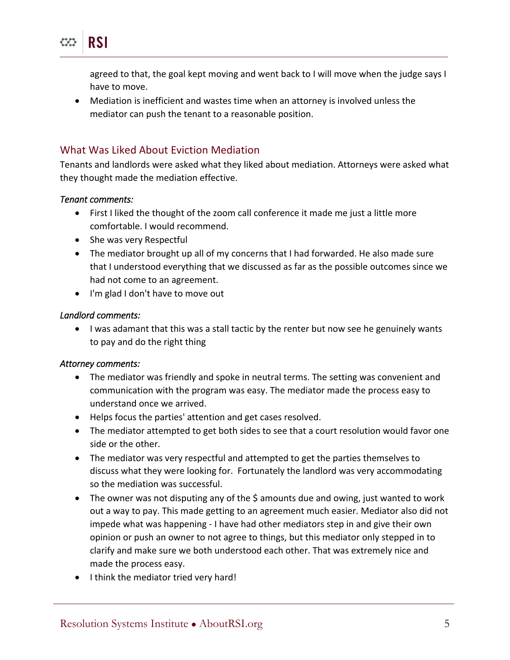agreed to that, the goal kept moving and went back to I will move when the judge says I have to move.

 Mediation is inefficient and wastes time when an attorney is involved unless the mediator can push the tenant to a reasonable position.

### What Was Liked About Eviction Mediation

Tenants and landlords were asked what they liked about mediation. Attorneys were asked what they thought made the mediation effective.

#### *Tenant comments:*

**RSI** 

- First I liked the thought of the zoom call conference it made me just a little more comfortable. I would recommend.
- She was very Respectful
- The mediator brought up all of my concerns that I had forwarded. He also made sure that I understood everything that we discussed as far as the possible outcomes since we had not come to an agreement.
- I'm glad I don't have to move out

#### *Landlord comments:*

 I was adamant that this was a stall tactic by the renter but now see he genuinely wants to pay and do the right thing

#### *Attorney comments:*

- The mediator was friendly and spoke in neutral terms. The setting was convenient and communication with the program was easy. The mediator made the process easy to understand once we arrived.
- Helps focus the parties' attention and get cases resolved.
- The mediator attempted to get both sides to see that a court resolution would favor one side or the other.
- The mediator was very respectful and attempted to get the parties themselves to discuss what they were looking for. Fortunately the landlord was very accommodating so the mediation was successful.
- The owner was not disputing any of the \$ amounts due and owing, just wanted to work out a way to pay. This made getting to an agreement much easier. Mediator also did not impede what was happening - I have had other mediators step in and give their own opinion or push an owner to not agree to things, but this mediator only stepped in to clarify and make sure we both understood each other. That was extremely nice and made the process easy.
- I think the mediator tried very hard!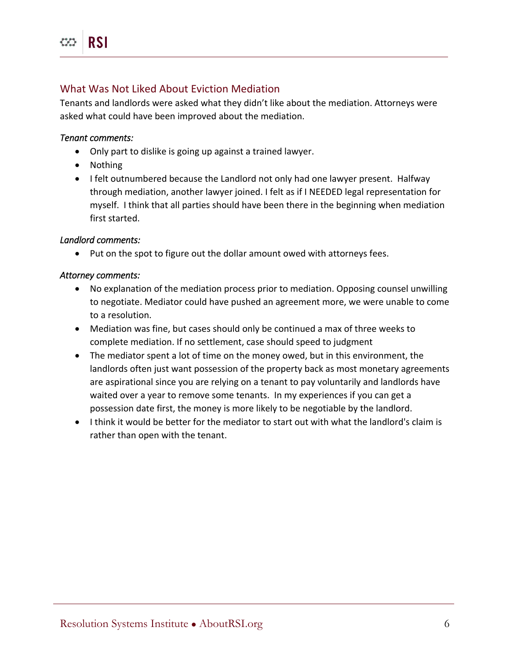### What Was Not Liked About Eviction Mediation

Tenants and landlords were asked what they didn't like about the mediation. Attorneys were asked what could have been improved about the mediation.

#### *Tenant comments:*

- Only part to dislike is going up against a trained lawyer.
- Nothing
- I felt outnumbered because the Landlord not only had one lawyer present. Halfway through mediation, another lawyer joined. I felt as if I NEEDED legal representation for myself. I think that all parties should have been there in the beginning when mediation first started.

#### *Landlord comments:*

• Put on the spot to figure out the dollar amount owed with attorneys fees.

#### *Attorney comments:*

- No explanation of the mediation process prior to mediation. Opposing counsel unwilling to negotiate. Mediator could have pushed an agreement more, we were unable to come to a resolution.
- Mediation was fine, but cases should only be continued a max of three weeks to complete mediation. If no settlement, case should speed to judgment
- The mediator spent a lot of time on the money owed, but in this environment, the landlords often just want possession of the property back as most monetary agreements are aspirational since you are relying on a tenant to pay voluntarily and landlords have waited over a year to remove some tenants. In my experiences if you can get a possession date first, the money is more likely to be negotiable by the landlord.
- I think it would be better for the mediator to start out with what the landlord's claim is rather than open with the tenant.